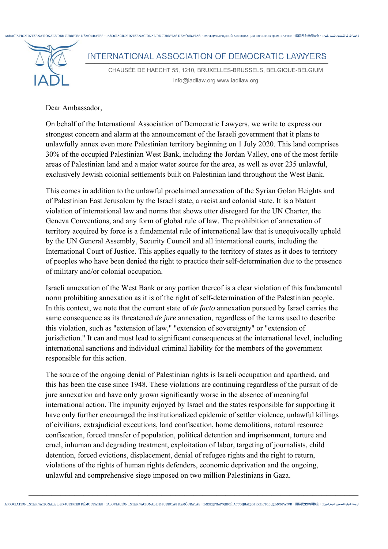

CHAUSÉE DE HAECHT 55, 1210, BRUXELLES-BRUSSELS, BELGIQUE-BELGIUM info@iadllaw.org www.iadllaw.org

Dear Ambassador,

On behalf of the International Association of Democratic Lawyers, we write to express our strongest concern and alarm at the announcement of the Israeli government that it plans to unlawfully annex even more Palestinian territory beginning on 1 July 2020. This land comprises 30% of the occupied Palestinian West Bank, including the Jordan Valley, one of the most fertile areas of Palestinian land and a major water source for the area, as well as over 235 unlawful, exclusively Jewish colonial settlements built on Palestinian land throughout the West Bank.

This comes in addition to the unlawful proclaimed annexation of the Syrian Golan Heights and of Palestinian East Jerusalem by the Israeli state, a racist and colonial state. It is a blatant violation of international law and norms that shows utter disregard for the UN Charter, the Geneva Conventions, and any form of global rule of law. The prohibition of annexation of territory acquired by force is a fundamental rule of international law that is unequivocally upheld by the UN General Assembly, Security Council and all international courts, including the International Court of Justice. This applies equally to the territory of states as it does to territory of peoples who have been denied the right to practice their self-determination due to the presence of military and/or colonial occupation.

Israeli annexation of the West Bank or any portion thereof is a clear violation of this fundamental norm prohibiting annexation as it is of the right of self-determination of the Palestinian people. In this context, we note that the current state of *de facto* annexation pursued by Israel carries the same consequence as its threatened *de jure* annexation, regardless of the terms used to describe this violation, such as "extension of law," "extension of sovereignty" or "extension of jurisdiction." It can and must lead to significant consequences at the international level, including international sanctions and individual criminal liability for the members of the government responsible for this action.

The source of the ongoing denial of Palestinian rights is Israeli occupation and apartheid, and this has been the case since 1948. These violations are continuing regardless of the pursuit of de jure annexation and have only grown significantly worse in the absence of meaningful international action. The impunity enjoyed by Israel and the states responsible for supporting it have only further encouraged the institutionalized epidemic of settler violence, unlawful killings of civilians, extrajudicial executions, land confiscation, home demolitions, natural resource confiscation, forced transfer of population, political detention and imprisonment, torture and cruel, inhuman and degrading treatment, exploitation of labor, targeting of journalists, child detention, forced evictions, displacement, denial of refugee rights and the right to return, violations of the rights of human rights defenders, economic deprivation and the ongoing, unlawful and comprehensive siege imposed on two million Palestinians in Gaza.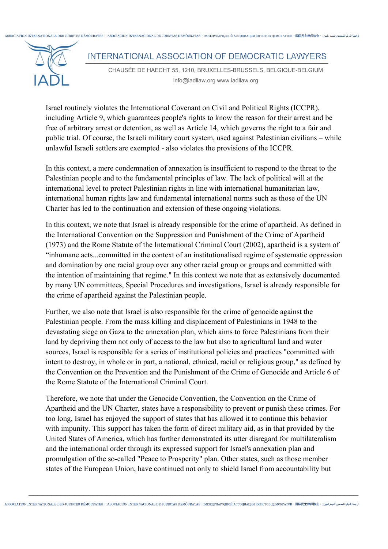

Israel routinely violates the International Covenant on Civil and Political Rights (ICCPR), including Article 9, which guarantees people's rights to know the reason for their arrest and be free of arbitrary arrest or detention, as well as Article 14, which governs the right to a fair and public trial. Of course, the Israeli military court system, used against Palestinian civilians – while unlawful Israeli settlers are exempted - also violates the provisions of the ICCPR.

In this context, a mere condemnation of annexation is insufficient to respond to the threat to the Palestinian people and to the fundamental principles of law. The lack of political will at the international level to protect Palestinian rights in line with international humanitarian law, international human rights law and fundamental international norms such as those of the UN Charter has led to the continuation and extension of these ongoing violations.

In this context, we note that Israel is already responsible for the crime of apartheid. As defined in the International Convention on the Suppression and Punishment of the Crime of Apartheid (1973) and the Rome Statute of the International Criminal Court (2002), apartheid is a system of "inhumane acts...committed in the context of an institutionalised regime of systematic oppression and domination by one racial group over any other racial group or groups and committed with the intention of maintaining that regime." In this context we note that as extensively documented by many UN committees, Special Procedures and investigations, Israel is already responsible for the crime of apartheid against the Palestinian people.

Further, we also note that Israel is also responsible for the crime of genocide against the Palestinian people. From the mass killing and displacement of Palestinians in 1948 to the devastating siege on Gaza to the annexation plan, which aims to force Palestinians from their land by depriving them not only of access to the law but also to agricultural land and water sources, Israel is responsible for a series of institutional policies and practices "committed with intent to destroy, in whole or in part, a national, ethnical, racial or religious group," as defined by the Convention on the Prevention and the Punishment of the Crime of Genocide and Article 6 of the Rome Statute of the International Criminal Court.

Therefore, we note that under the Genocide Convention, the Convention on the Crime of Apartheid and the UN Charter, states have a responsibility to prevent or punish these crimes. For too long, Israel has enjoyed the support of states that has allowed it to continue this behavior with impunity. This support has taken the form of direct military aid, as in that provided by the United States of America, which has further demonstrated its utter disregard for multilateralism and the international order through its expressed support for Israel's annexation plan and promulgation of the so-called "Peace to Prosperity" plan. Other states, such as those member states of the European Union, have continued not only to shield Israel from accountability but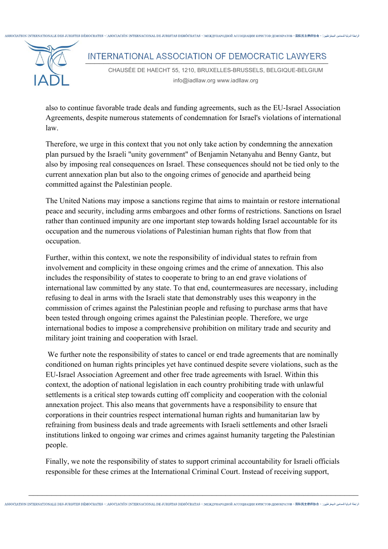العامة المحامد التعبة المسابع المسلم المسلم المسلم ASSOCIATION INTERNATIONALE DES JURISTES DÉMOCRATES - DASOCIACIÓN INTERNACIONAL DE JURISTAS DEMÓCRATAS - DEMOCHADO JUAN ACCOUNATIVI IOPICTOR - IENOKPATOR - 国医民主律価协会 - DAN ì INTERNATIONAL ASSOCIATION OF DEMOCRATIC LAWYERS

CHAUSÉE DE HAECHT 55, 1210, BRUXELLES-BRUSSELS, BELGIQUE-BELGIUM info@iadllaw.org www.iadllaw.org

also to continue favorable trade deals and funding agreements, such as the EU-Israel Association Agreements, despite numerous statements of condemnation for Israel's violations of international law.

Therefore, we urge in this context that you not only take action by condemning the annexation plan pursued by the Israeli "unity government" of Benjamin Netanyahu and Benny Gantz, but also by imposing real consequences on Israel. These consequences should not be tied only to the current annexation plan but also to the ongoing crimes of genocide and apartheid being committed against the Palestinian people.

The United Nations may impose a sanctions regime that aims to maintain or restore international peace and security, including arms embargoes and other forms of restrictions. Sanctions on Israel rather than continued impunity are one important step towards holding Israel accountable for its occupation and the numerous violations of Palestinian human rights that flow from that occupation.

Further, within this context, we note the responsibility of individual states to refrain from involvement and complicity in these ongoing crimes and the crime of annexation. This also includes the responsibility of states to cooperate to bring to an end grave violations of international law committed by any state. To that end, countermeasures are necessary, including refusing to deal in arms with the Israeli state that demonstrably uses this weaponry in the commission of crimes against the Palestinian people and refusing to purchase arms that have been tested through ongoing crimes against the Palestinian people. Therefore, we urge international bodies to impose a comprehensive prohibition on military trade and security and military joint training and cooperation with Israel.

We further note the responsibility of states to cancel or end trade agreements that are nominally conditioned on human rights principles yet have continued despite severe violations, such as the EU-Israel Association Agreement and other free trade agreements with Israel. Within this context, the adoption of national legislation in each country prohibiting trade with unlawful settlements is a critical step towards cutting off complicity and cooperation with the colonial annexation project. This also means that governments have a responsibility to ensure that corporations in their countries respect international human rights and humanitarian law by refraining from business deals and trade agreements with Israeli settlements and other Israeli institutions linked to ongoing war crimes and crimes against humanity targeting the Palestinian people.

Finally, we note the responsibility of states to support criminal accountability for Israeli officials responsible for these crimes at the International Criminal Court. Instead of receiving support,